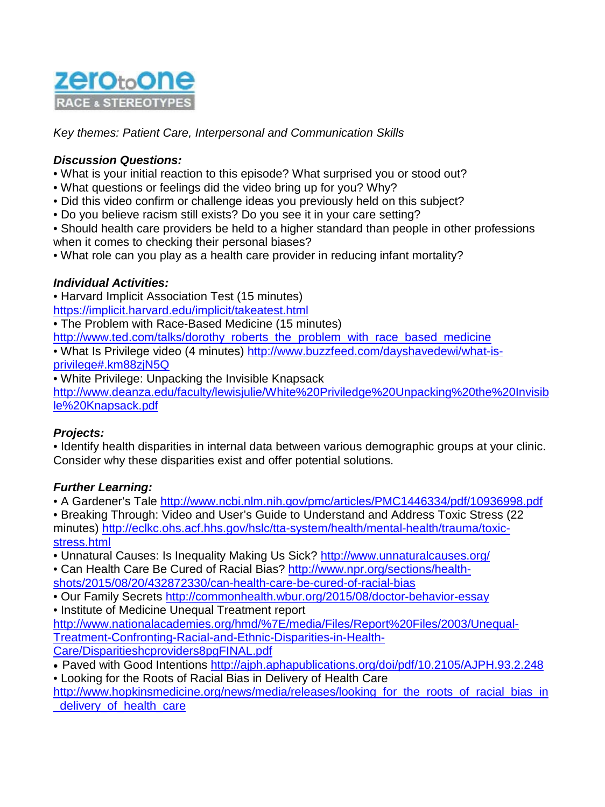

*Key themes: Patient Care, Interpersonal and Communication Skills* 

#### *Discussion Questions:*

- What is your initial reaction to this episode? What surprised you or stood out?
- What questions or feelings did the video bring up for you? Why?
- Did this video confirm or challenge ideas you previously held on this subject?
- Do you believe racism still exists? Do you see it in your care setting?
- Should health care providers be held to a higher standard than people in other professions when it comes to checking their personal biases?
- What role can you play as a health care provider in reducing infant mortality?

## *Individual Activities:*

• Harvard Implicit Association Test (15 minutes)

<https://implicit.harvard.edu/implicit/takeatest.html>

• The Problem with Race-Based Medicine (15 minutes)

[http://www.ted.com/talks/dorothy\\_roberts\\_the\\_problem\\_with\\_race\\_based\\_medicine](http://www.ted.com/talks/dorothy_roberts_the_problem_with_race_based_medicine)

• What Is Privilege video (4 minutes) [http://www.buzzfeed.com/dayshavedewi/what-is](http://www.buzzfeed.com/dayshavedewi/what-is-privilege%23.km88zjN5Q)[privilege#.km88zjN5Q](http://www.buzzfeed.com/dayshavedewi/what-is-privilege%23.km88zjN5Q)

• White Privilege: Unpacking the Invisible Knapsack

[http://www.deanza.edu/faculty/lewisjulie/White%20Priviledge%20Unpacking%20the%20Invisib](http://www.deanza.edu/faculty/lewisjulie/White%20Priviledge%20Unpacking%20the%20Invisible%20Knapsack.pdf) [le%20Knapsack.pdf](http://www.deanza.edu/faculty/lewisjulie/White%20Priviledge%20Unpacking%20the%20Invisible%20Knapsack.pdf)

# *Projects:*

• Identify health disparities in internal data between various demographic groups at your clinic. Consider why these disparities exist and offer potential solutions.

#### *Further Learning:*

• A Gardener's Tale<http://www.ncbi.nlm.nih.gov/pmc/articles/PMC1446334/pdf/10936998.pdf>

• Breaking Through: Video and User's Guide to Understand and Address Toxic Stress (22 minutes) [http://eclkc.ohs.acf.hhs.gov/hslc/tta-system/health/mental-health/trauma/toxic](http://eclkc.ohs.acf.hhs.gov/hslc/tta-system/health/mental-health/trauma/toxic-stress.html)[stress.html](http://eclkc.ohs.acf.hhs.gov/hslc/tta-system/health/mental-health/trauma/toxic-stress.html)

• Unnatural Causes: Is Inequality Making Us Sick?<http://www.unnaturalcauses.org/>

• Can Health Care Be Cured of Racial Bias? [http://www.npr.org/sections/health](http://www.npr.org/sections/health-shots/2015/08/20/432872330/can-health-care-be-cured-of-racial-bias)[shots/2015/08/20/432872330/can-health-care-be-cured-of-racial-bias](http://www.npr.org/sections/health-shots/2015/08/20/432872330/can-health-care-be-cured-of-racial-bias)

• Our Family Secrets<http://commonhealth.wbur.org/2015/08/doctor-behavior-essay> • Institute of Medicine Unequal Treatment report

[http://www.nationalacademies.org/hmd/%7E/media/Files/Report%20Files/2003/Unequal-](http://www.nationalacademies.org/hmd/%7E/media/Files/Report%20Files/2003/Unequal-Treatment-Confronting-Racial-and-Ethnic-Disparities-in-Health-Care/Disparitieshcproviders8pgFINAL.pdf)[Treatment-Confronting-Racial-and-Ethnic-Disparities-in-Health-](http://www.nationalacademies.org/hmd/%7E/media/Files/Report%20Files/2003/Unequal-Treatment-Confronting-Racial-and-Ethnic-Disparities-in-Health-Care/Disparitieshcproviders8pgFINAL.pdf)[Care/Disparitieshcproviders8pgFINAL.pdf](http://www.nationalacademies.org/hmd/%7E/media/Files/Report%20Files/2003/Unequal-Treatment-Confronting-Racial-and-Ethnic-Disparities-in-Health-Care/Disparitieshcproviders8pgFINAL.pdf)

• Paved with Good Intentions<http://ajph.aphapublications.org/doi/pdf/10.2105/AJPH.93.2.248>

• Looking for the Roots of Racial Bias in Delivery of Health Care http://www.hopkinsmedicine.org/news/media/releases/looking for the roots of racial bias in [\\_delivery\\_of\\_health\\_care](http://www.hopkinsmedicine.org/news/media/releases/looking_for_the_roots_of_racial_bias_in_delivery_of_health_care)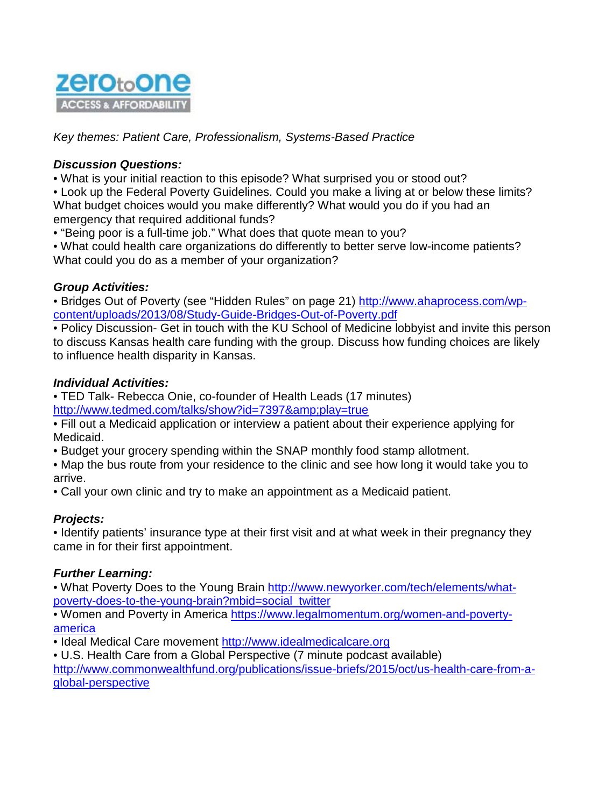

*Key themes: Patient Care, Professionalism, Systems-Based Practice* 

### *Discussion Questions:*

• What is your initial reaction to this episode? What surprised you or stood out?

• Look up the Federal Poverty Guidelines. Could you make a living at or below these limits? What budget choices would you make differently? What would you do if you had an emergency that required additional funds?

• "Being poor is a full-time job." What does that quote mean to you?

• What could health care organizations do differently to better serve low-income patients? What could you do as a member of your organization?

#### *Group Activities:*

• Bridges Out of Poverty (see "Hidden Rules" on page 21) [http://www.ahaprocess.com/wp](http://www.ahaprocess.com/wp-content/uploads/2013/08/Study-Guide-Bridges-Out-of-Poverty.pdf)[content/uploads/2013/08/Study-Guide-Bridges-Out-of-Poverty.pdf](http://www.ahaprocess.com/wp-content/uploads/2013/08/Study-Guide-Bridges-Out-of-Poverty.pdf)

• Policy Discussion- Get in touch with the KU School of Medicine lobbyist and invite this person to discuss Kansas health care funding with the group. Discuss how funding choices are likely to influence health disparity in Kansas.

#### *Individual Activities:*

• TED Talk- Rebecca Onie, co-founder of Health Leads (17 minutes) <http://www.tedmed.com/talks/show?id=7397&play=true>

• Fill out a Medicaid application or interview a patient about their experience applying for Medicaid.

• Budget your grocery spending within the SNAP monthly food stamp allotment.

• Map the bus route from your residence to the clinic and see how long it would take you to arrive.

• Call your own clinic and try to make an appointment as a Medicaid patient.

# *Projects:*

• Identify patients' insurance type at their first visit and at what week in their pregnancy they came in for their first appointment.

#### *Further Learning:*

• What Poverty Does to the Young Brain [http://www.newyorker.com/tech/elements/what](http://www.newyorker.com/tech/elements/what-poverty-does-to-the-young-brain?mbid=social_twitter)[poverty-does-to-the-young-brain?mbid=social\\_twitter](http://www.newyorker.com/tech/elements/what-poverty-does-to-the-young-brain?mbid=social_twitter)

• Women and Poverty in America [https://www.legalmomentum.org/women-and-poverty](https://www.legalmomentum.org/women-and-poverty-america)[america](https://www.legalmomentum.org/women-and-poverty-america)

• Ideal Medical Care movement [http://www.idealmedicalcare.org](http://www.idealmedicalcare.org/)

• U.S. Health Care from a Global Perspective (7 minute podcast available) [http://www.commonwealthfund.org/publications/issue-briefs/2015/oct/us-health-care-from-a](http://www.commonwealthfund.org/publications/issue-briefs/2015/oct/us-health-care-from-a-global-perspective)[global-perspective](http://www.commonwealthfund.org/publications/issue-briefs/2015/oct/us-health-care-from-a-global-perspective)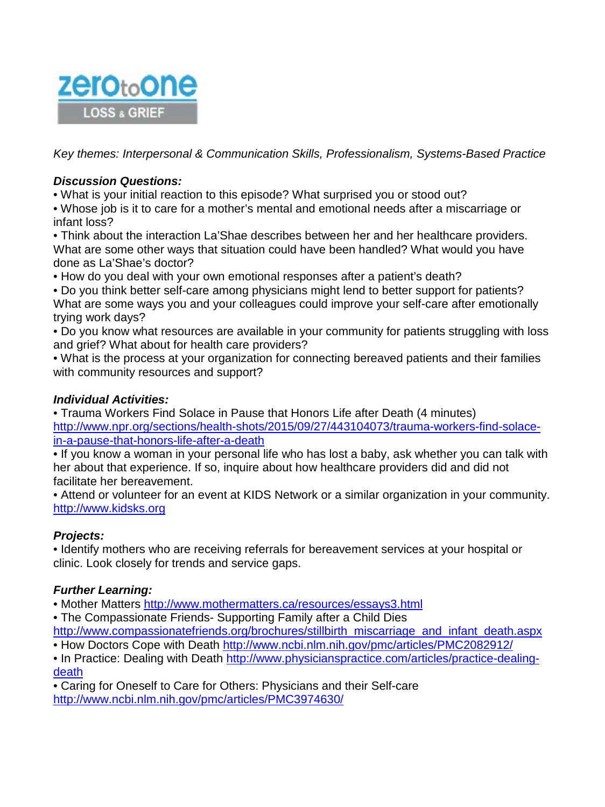

*Key themes: Interpersonal & Communication Skills, Professionalism, Systems-Based Practice* 

## *Discussion Questions:*

• What is your initial reaction to this episode? What surprised you or stood out?

• Whose job is it to care for a mother's mental and emotional needs after a miscarriage or infant loss?

• Think about the interaction La'Shae describes between her and her healthcare providers. What are some other ways that situation could have been handled? What would you have done as La'Shae's doctor?

• How do you deal with your own emotional responses after a patient's death?

• Do you think better self-care among physicians might lend to better support for patients? What are some ways you and your colleagues could improve your self-care after emotionally trying work days?

• Do you know what resources are available in your community for patients struggling with loss and grief? What about for health care providers?

• What is the process at your organization for connecting bereaved patients and their families with community resources and support?

## *Individual Activities:*

• Trauma Workers Find Solace in Pause that Honors Life after Death (4 minutes) [http://www.npr.org/sections/health-shots/2015/09/27/443104073/trauma-workers-find-solace](http://www.npr.org/sections/health-shots/2015/09/27/443104073/trauma-workers-find-solace-in-a-pause-that-honors-life-after-a-death)[in-a-pause-that-honors-life-after-a-death](http://www.npr.org/sections/health-shots/2015/09/27/443104073/trauma-workers-find-solace-in-a-pause-that-honors-life-after-a-death)

• If you know a woman in your personal life who has lost a baby, ask whether you can talk with her about that experience. If so, inquire about how healthcare providers did and did not facilitate her bereavement.

• Attend or volunteer for an event at KIDS Network or a similar organization in your community. [http://www.kidsks.org](http://www.kidsks.org/)

# *Projects:*

• Identify mothers who are receiving referrals for bereavement services at your hospital or clinic. Look closely for trends and service gaps.

#### *Further Learning:*

• Mother Matters<http://www.mothermatters.ca/resources/essays3.html>

• The Compassionate Friends- Supporting Family after a Child Dies

[http://www.compassionatefriends.org/brochures/stillbirth\\_miscarriage\\_and\\_infant\\_death.aspx](http://www.compassionatefriends.org/brochures/stillbirth_miscarriage_and_infant_death.aspx) • How Doctors Cope with Death<http://www.ncbi.nlm.nih.gov/pmc/articles/PMC2082912/>

• In Practice: Dealing with Death [http://www.physicianspractice.com/articles/practice-dealing](http://www.physicianspractice.com/articles/practice-dealing-death)[death](http://www.physicianspractice.com/articles/practice-dealing-death)

• Caring for Oneself to Care for Others: Physicians and their Self-care <http://www.ncbi.nlm.nih.gov/pmc/articles/PMC3974630/>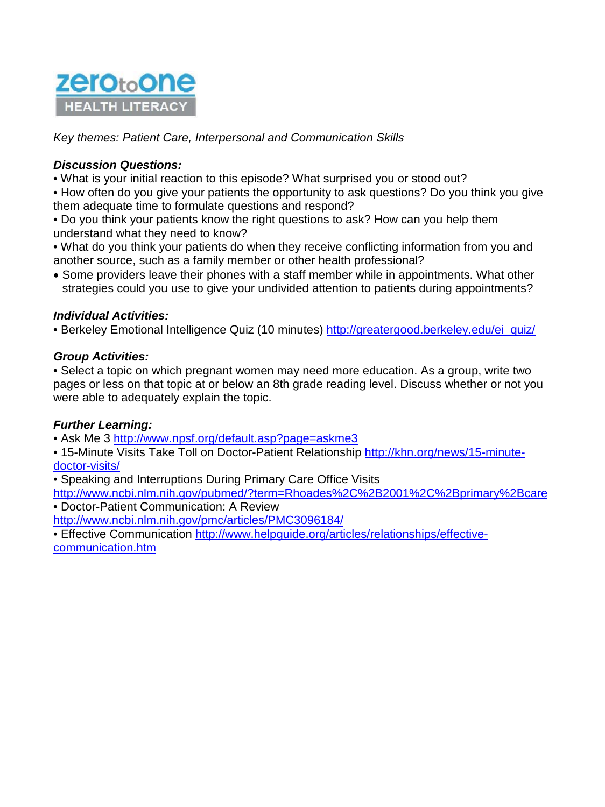

*Key themes: Patient Care, Interpersonal and Communication Skills* 

### *Discussion Questions:*

• What is your initial reaction to this episode? What surprised you or stood out?

• How often do you give your patients the opportunity to ask questions? Do you think you give them adequate time to formulate questions and respond?

• Do you think your patients know the right questions to ask? How can you help them understand what they need to know?

• What do you think your patients do when they receive conflicting information from you and another source, such as a family member or other health professional?

• Some providers leave their phones with a staff member while in appointments. What other strategies could you use to give your undivided attention to patients during appointments?

#### *Individual Activities:*

• Berkeley Emotional Intelligence Quiz (10 minutes) [http://greatergood.berkeley.edu/ei\\_quiz/](http://greatergood.berkeley.edu/ei_quiz/)

#### *Group Activities:*

• Select a topic on which pregnant women may need more education. As a group, write two pages or less on that topic at or below an 8th grade reading level. Discuss whether or not you were able to adequately explain the topic.

#### *Further Learning:*

• Ask Me 3<http://www.npsf.org/default.asp?page=askme3>

• 15-Minute Visits Take Toll on Doctor-Patient Relationship [http://khn.org/news/15-minute](http://khn.org/news/15-minute-doctor-visits/)[doctor-visits/](http://khn.org/news/15-minute-doctor-visits/)

• Speaking and Interruptions During Primary Care Office Visits

<http://www.ncbi.nlm.nih.gov/pubmed/?term=Rhoades%2C%2B2001%2C%2Bprimary%2Bcare> • Doctor-Patient Communication: A Review

<http://www.ncbi.nlm.nih.gov/pmc/articles/PMC3096184/>

• Effective Communication [http://www.helpguide.org/articles/relationships/effective](http://www.helpguide.org/articles/relationships/effective-communication.htm)[communication.htm](http://www.helpguide.org/articles/relationships/effective-communication.htm)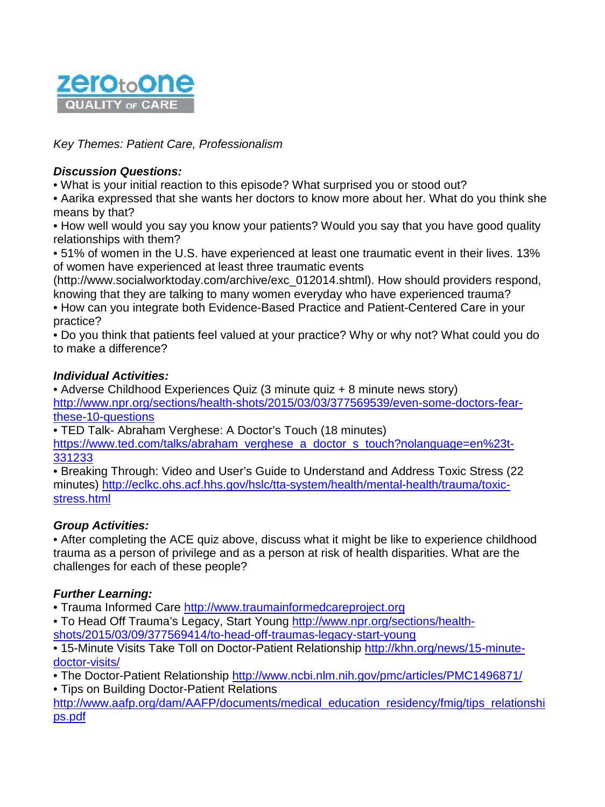

*Key Themes: Patient Care, Professionalism* 

### *Discussion Questions:*

• What is your initial reaction to this episode? What surprised you or stood out?

• Aarika expressed that she wants her doctors to know more about her. What do you think she means by that?

• How well would you say you know your patients? Would you say that you have good quality relationships with them?

• 51% of women in the U.S. have experienced at least one traumatic event in their lives. 13% of women have experienced at least three traumatic events

(http://www.socialworktoday.com/archive/exc\_012014.shtml). How should providers respond, knowing that they are talking to many women everyday who have experienced trauma?

• How can you integrate both Evidence-Based Practice and Patient-Centered Care in your practice?

• Do you think that patients feel valued at your practice? Why or why not? What could you do to make a difference?

## *Individual Activities:*

• Adverse Childhood Experiences Quiz (3 minute quiz + 8 minute news story) [http://www.npr.org/sections/health-shots/2015/03/03/377569539/even-some-doctors-fear](http://www.npr.org/sections/health-shots/2015/03/03/377569539/even-some-doctors-fear-these-10-questions)[these-10-questions](http://www.npr.org/sections/health-shots/2015/03/03/377569539/even-some-doctors-fear-these-10-questions)

• TED Talk- Abraham Verghese: A Doctor's Touch (18 minutes) [https://www.ted.com/talks/abraham\\_verghese\\_a\\_doctor\\_s\\_touch?nolanguage=en%23t-](https://www.ted.com/talks/abraham_verghese_a_doctor_s_touch?nolanguage=en%23t-331233)[331233](https://www.ted.com/talks/abraham_verghese_a_doctor_s_touch?nolanguage=en%23t-331233)

• Breaking Through: Video and User's Guide to Understand and Address Toxic Stress (22 minutes) [http://eclkc.ohs.acf.hhs.gov/hslc/tta-system/health/mental-health/trauma/toxic](http://eclkc.ohs.acf.hhs.gov/hslc/tta-system/health/mental-health/trauma/toxic-stress.html)[stress.html](http://eclkc.ohs.acf.hhs.gov/hslc/tta-system/health/mental-health/trauma/toxic-stress.html)

# *Group Activities:*

• After completing the ACE quiz above, discuss what it might be like to experience childhood trauma as a person of privilege and as a person at risk of health disparities. What are the challenges for each of these people?

# *Further Learning:*

• Trauma Informed Care [http://www.traumainformedcareproject.org](http://www.traumainformedcareproject.org/)

• To Head Off Trauma's Legacy, Start Young [http://www.npr.org/sections/health](http://www.npr.org/sections/health-shots/2015/03/09/377569414/to-head-off-traumas-legacy-start-young)[shots/2015/03/09/377569414/to-head-off-traumas-legacy-start-young](http://www.npr.org/sections/health-shots/2015/03/09/377569414/to-head-off-traumas-legacy-start-young)

• 15-Minute Visits Take Toll on Doctor-Patient Relationship [http://khn.org/news/15-minute](http://khn.org/news/15-minute-doctor-visits/)[doctor-visits/](http://khn.org/news/15-minute-doctor-visits/)

• The Doctor-Patient Relationship<http://www.ncbi.nlm.nih.gov/pmc/articles/PMC1496871/>

• Tips on Building Doctor-Patient Relations

[http://www.aafp.org/dam/AAFP/documents/medical\\_education\\_residency/fmig/tips\\_relationshi](http://www.aafp.org/dam/AAFP/documents/medical_education_residency/fmig/tips_relationships.pdf) [ps.pdf](http://www.aafp.org/dam/AAFP/documents/medical_education_residency/fmig/tips_relationships.pdf)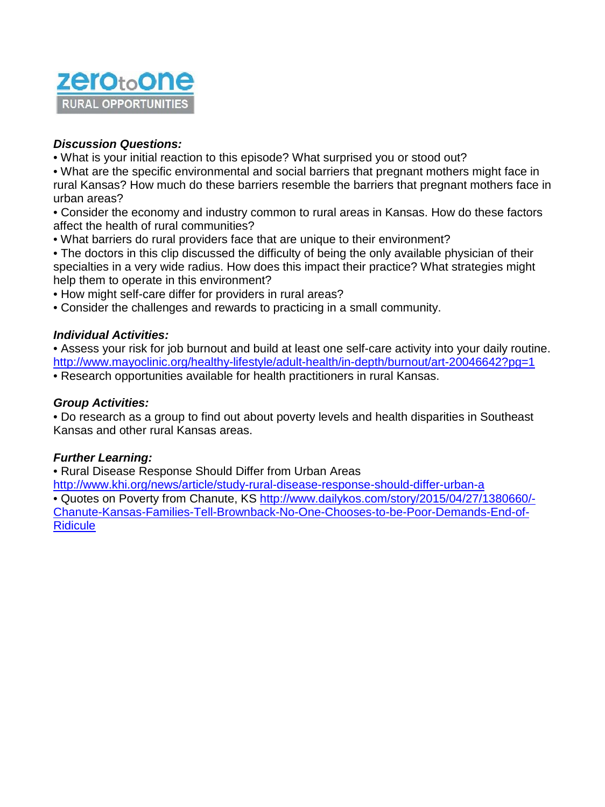

### *Discussion Questions:*

• What is your initial reaction to this episode? What surprised you or stood out?

• What are the specific environmental and social barriers that pregnant mothers might face in rural Kansas? How much do these barriers resemble the barriers that pregnant mothers face in urban areas?

• Consider the economy and industry common to rural areas in Kansas. How do these factors affect the health of rural communities?

• What barriers do rural providers face that are unique to their environment?

• The doctors in this clip discussed the difficulty of being the only available physician of their specialties in a very wide radius. How does this impact their practice? What strategies might help them to operate in this environment?

• How might self-care differ for providers in rural areas?

• Consider the challenges and rewards to practicing in a small community.

#### *Individual Activities:*

• Assess your risk for job burnout and build at least one self-care activity into your daily routine. <http://www.mayoclinic.org/healthy-lifestyle/adult-health/in-depth/burnout/art-20046642?pg=1> • Research opportunities available for health practitioners in rural Kansas.

#### *Group Activities:*

• Do research as a group to find out about poverty levels and health disparities in Southeast Kansas and other rural Kansas areas.

#### *Further Learning:*

• Rural Disease Response Should Differ from Urban Areas

<http://www.khi.org/news/article/study-rural-disease-response-should-differ-urban-a> • Quotes on Poverty from Chanute, KS [http://www.dailykos.com/story/2015/04/27/1380660/-](http://www.dailykos.com/story/2015/04/27/1380660/-Chanute-Kansas-Families-Tell-Brownback-No-One-Chooses-to-be-Poor-Demands-End-of-Ridicule) [Chanute-Kansas-Families-Tell-Brownback-No-One-Chooses-to-be-Poor-Demands-End-of-](http://www.dailykos.com/story/2015/04/27/1380660/-Chanute-Kansas-Families-Tell-Brownback-No-One-Chooses-to-be-Poor-Demands-End-of-Ridicule)**[Ridicule](http://www.dailykos.com/story/2015/04/27/1380660/-Chanute-Kansas-Families-Tell-Brownback-No-One-Chooses-to-be-Poor-Demands-End-of-Ridicule)**